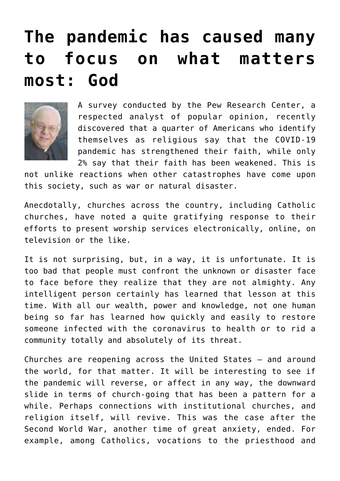## **[The pandemic has caused many](https://www.osvnews.com/2020/05/08/the-pandemic-has-caused-many-to-focus-on-what-matters-most-god/) [to focus on what matters](https://www.osvnews.com/2020/05/08/the-pandemic-has-caused-many-to-focus-on-what-matters-most-god/) [most: God](https://www.osvnews.com/2020/05/08/the-pandemic-has-caused-many-to-focus-on-what-matters-most-god/)**



A survey conducted by the Pew Research Center, a respected analyst of popular opinion, recently discovered that a quarter of Americans who identify themselves as religious say that the COVID-19 pandemic has strengthened their faith, while only 2% say that their faith has been weakened. This is

not unlike reactions when other catastrophes have come upon this society, such as war or natural disaster.

Anecdotally, churches across the country, including Catholic churches, have noted a quite gratifying response to their efforts to present worship services electronically, online, on television or the like.

It is not surprising, but, in a way, it is unfortunate. It is too bad that people must confront the unknown or disaster face to face before they realize that they are not almighty. Any intelligent person certainly has learned that lesson at this time. With all our wealth, power and knowledge, not one human being so far has learned how quickly and easily to restore someone infected with the coronavirus to health or to rid a community totally and absolutely of its threat.

Churches are reopening across the United States — and around the world, for that matter. It will be interesting to see if the pandemic will reverse, or affect in any way, the downward slide in terms of church-going that has been a pattern for a while. Perhaps connections with institutional churches, and religion itself, will revive. This was the case after the Second World War, another time of great anxiety, ended. For example, among Catholics, vocations to the priesthood and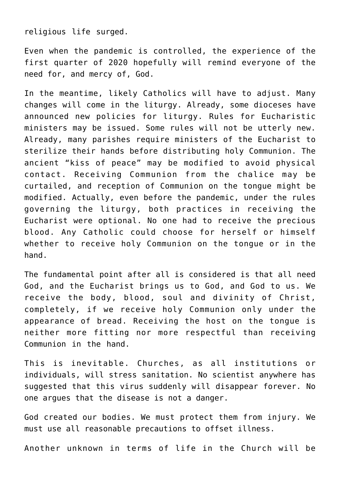religious life surged.

Even when the pandemic is controlled, the experience of the first quarter of 2020 hopefully will remind everyone of the need for, and mercy of, God.

In the meantime, likely Catholics will have to adjust. Many changes will come in the liturgy. Already, some dioceses have announced new policies for liturgy. Rules for Eucharistic ministers may be issued. Some rules will not be utterly new. Already, many parishes require ministers of the Eucharist to sterilize their hands before distributing holy Communion. The ancient "kiss of peace" may be modified to avoid physical contact. Receiving Communion from the chalice may be curtailed, and reception of Communion on the tongue might be modified. Actually, even before the pandemic, under the rules governing the liturgy, both practices in receiving the Eucharist were optional. No one had to receive the precious blood. Any Catholic could choose for herself or himself whether to receive holy Communion on the tongue or in the hand.

The fundamental point after all is considered is that all need God, and the Eucharist brings us to God, and God to us. We receive the body, blood, soul and divinity of Christ, completely, if we receive holy Communion only under the appearance of bread. Receiving the host on the tongue is neither more fitting nor more respectful than receiving Communion in the hand.

This is inevitable. Churches, as all institutions or individuals, will stress sanitation. No scientist anywhere has suggested that this virus suddenly will disappear forever. No one argues that the disease is not a danger.

God created our bodies. We must protect them from injury. We must use all reasonable precautions to offset illness.

Another unknown in terms of life in the Church will be